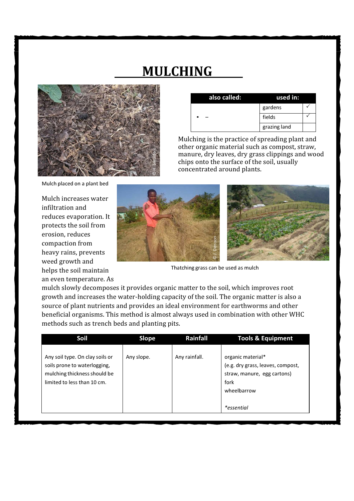## MULCHING



| also called: | used in:     |  |
|--------------|--------------|--|
|              | gardens      |  |
|              | fields       |  |
|              | grazing land |  |

Mulching is the practice of spreading plant and other organic material such as compost, straw, manure, dry leaves, dry grass clippings and wood chips onto the surface of the soil, usually concentrated around plants.

Mulch placed on a plant bed

Mulch increases water infiltration and reduces evaporation. It protects the soil from erosion, reduces compaction from heavy rains, prevents weed growth and helps the soil maintain an even temperature. As



Thatching grass can be used as mulch

mulch slowly decomposes it provides organic matter to the soil, which improves root growth and increases the water-holding capacity of the soil. The organic matter is also a source of plant nutrients and provides an ideal environment for earthworms and other beneficial organisms. This method is almost always used in combination with other WHC methods such as trench beds and planting pits.

| Soil                                                                                                                           | <b>Slope</b> | Rainfall      | <b>Tools &amp; Equipment</b>                                                                                               |
|--------------------------------------------------------------------------------------------------------------------------------|--------------|---------------|----------------------------------------------------------------------------------------------------------------------------|
| Any soil type. On clay soils or<br>soils prone to waterlogging,<br>mulching thickness should be<br>limited to less than 10 cm. | Any slope.   | Any rainfall. | organic material*<br>(e.g. dry grass, leaves, compost,<br>straw, manure, egg cartons)<br>fork<br>wheelbarrow<br>*essential |